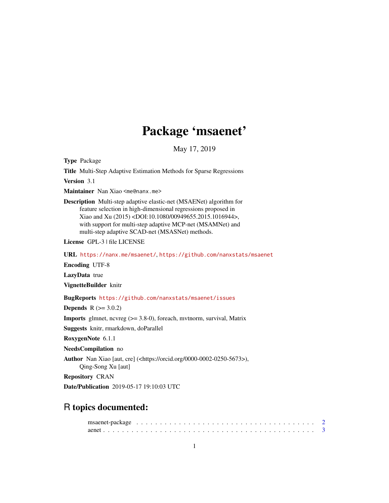# Package 'msaenet'

May 17, 2019

<span id="page-0-0"></span>Type Package

Title Multi-Step Adaptive Estimation Methods for Sparse Regressions

Version 3.1

Maintainer Nan Xiao <me@nanx.me>

Description Multi-step adaptive elastic-net (MSAENet) algorithm for feature selection in high-dimensional regressions proposed in Xiao and Xu (2015) <DOI:10.1080/00949655.2015.1016944>, with support for multi-step adaptive MCP-net (MSAMNet) and multi-step adaptive SCAD-net (MSASNet) methods.

License GPL-3 | file LICENSE

URL <https://nanx.me/msaenet/>, <https://github.com/nanxstats/msaenet>

Encoding UTF-8

LazyData true

VignetteBuilder knitr

BugReports <https://github.com/nanxstats/msaenet/issues>

**Depends**  $R$  ( $> = 3.0.2$ )

Imports glmnet, ncvreg (>= 3.8-0), foreach, mvtnorm, survival, Matrix

Suggests knitr, rmarkdown, doParallel

RoxygenNote 6.1.1

NeedsCompilation no

Author Nan Xiao [aut, cre] (<https://orcid.org/0000-0002-0250-5673>), Qing-Song Xu [aut]

Repository CRAN

Date/Publication 2019-05-17 19:10:03 UTC

# R topics documented: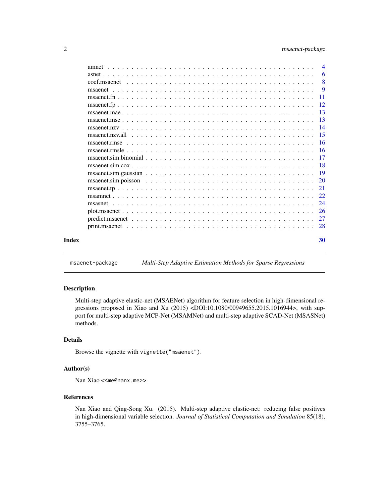# <span id="page-1-0"></span>2 msaenet-package

|       |                           | $\overline{4}$ |
|-------|---------------------------|----------------|
|       |                           | -6             |
|       | $\overline{\phantom{0}}8$ |                |
|       |                           | - 9            |
|       |                           |                |
|       |                           |                |
|       |                           |                |
|       |                           |                |
|       |                           |                |
|       |                           |                |
|       |                           |                |
|       |                           |                |
|       |                           |                |
|       |                           |                |
|       |                           |                |
|       |                           |                |
|       |                           |                |
|       |                           |                |
|       |                           |                |
|       |                           | -26            |
|       |                           |                |
|       |                           |                |
| Index |                           | 30             |

msaenet-package *Multi-Step Adaptive Estimation Methods for Sparse Regressions*

#### Description

Multi-step adaptive elastic-net (MSAENet) algorithm for feature selection in high-dimensional regressions proposed in Xiao and Xu (2015) <DOI:10.1080/00949655.2015.1016944>, with support for multi-step adaptive MCP-Net (MSAMNet) and multi-step adaptive SCAD-Net (MSASNet) methods.

# Details

Browse the vignette with vignette("msaenet").

#### Author(s)

Nan Xiao <<me@nanx.me>>

#### References

Nan Xiao and Qing-Song Xu. (2015). Multi-step adaptive elastic-net: reducing false positives in high-dimensional variable selection. *Journal of Statistical Computation and Simulation* 85(18), 3755–3765.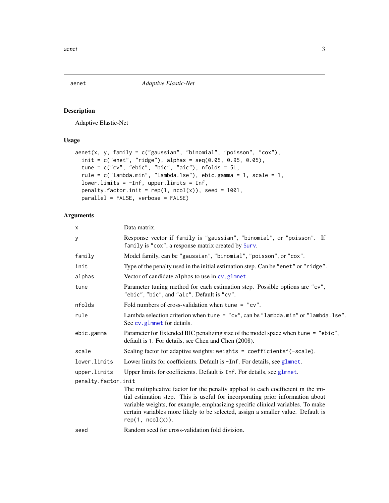<span id="page-2-1"></span><span id="page-2-0"></span>

Adaptive Elastic-Net

# Usage

```
aenet(x, y, family = c("gaussian", "binomial", "poisson", "cox"),
  init = c("enet", "ridge"), alphas = seq(0.05, 0.95, 0.05),
  tune = c("cv", "ebic", "bic", "aic"), nfolds = 5L,
  rule = c("lambda.mind, "lambda.1se"), ebic.gamma = 1, scale = 1,lower.limits = -Inf, upper.limits = Inf,
 penalty.factor.init = rep(1, ncol(x)), seed = 1001,
 parallel = FALSE, verbose = FALSE)
```
# Arguments

| x                   | Data matrix.                                                                                                                                                                                                                                                                                                                                                   |
|---------------------|----------------------------------------------------------------------------------------------------------------------------------------------------------------------------------------------------------------------------------------------------------------------------------------------------------------------------------------------------------------|
| y                   | Response vector if family is "gaussian", "binomial", or "poisson". If<br>family is "cox", a response matrix created by Surv.                                                                                                                                                                                                                                   |
| family              | Model family, can be "gaussian", "binomial", "poisson", or "cox".                                                                                                                                                                                                                                                                                              |
| init                | Type of the penalty used in the initial estimation step. Can be "enet" or "ridge".                                                                                                                                                                                                                                                                             |
| alphas              | Vector of candidate alphas to use in cv.glmnet.                                                                                                                                                                                                                                                                                                                |
| tune                | Parameter tuning method for each estimation step. Possible options are "cv",<br>"ebic", "bic", and "aic". Default is "cv".                                                                                                                                                                                                                                     |
| nfolds              | Fold numbers of cross-validation when tune = $"cv"$ .                                                                                                                                                                                                                                                                                                          |
| rule                | Lambda selection criterion when tune = "cv", can be "lambda.min" or "lambda.1se".<br>See cv.glmnet for details.                                                                                                                                                                                                                                                |
| ebic.gamma          | Parameter for Extended BIC penalizing size of the model space when tune = "ebic",<br>default is 1. For details, see Chen and Chen (2008).                                                                                                                                                                                                                      |
| scale               | Scaling factor for adaptive weights: weights = coefficients^(-scale).                                                                                                                                                                                                                                                                                          |
| lower.limits        | Lower limits for coefficients. Default is -Inf. For details, see glmnet.                                                                                                                                                                                                                                                                                       |
| upper.limits        | Upper limits for coefficients. Default is Inf. For details, see glmnet.                                                                                                                                                                                                                                                                                        |
| penalty.factor.init |                                                                                                                                                                                                                                                                                                                                                                |
|                     | The multiplicative factor for the penalty applied to each coefficient in the ini-<br>tial estimation step. This is useful for incorporating prior information about<br>variable weights, for example, emphasizing specific clinical variables. To make<br>certain variables more likely to be selected, assign a smaller value. Default is<br>rep(1, ncol(x)). |
| seed                | Random seed for cross-validation fold division.                                                                                                                                                                                                                                                                                                                |
|                     |                                                                                                                                                                                                                                                                                                                                                                |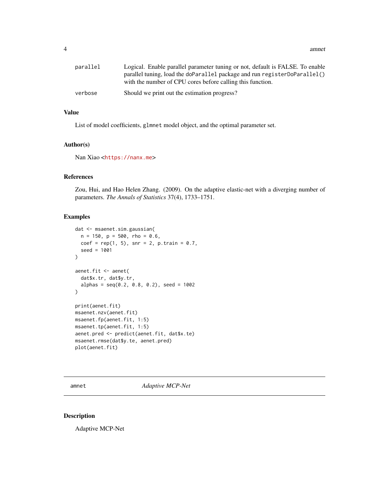<span id="page-3-0"></span>4 amnet

| parallel | Logical. Enable parallel parameter tuning or not, default is FALSE. To enable<br>parallel tuning, load the doParallel package and run registerDoParallel()<br>with the number of CPU cores before calling this function. |
|----------|--------------------------------------------------------------------------------------------------------------------------------------------------------------------------------------------------------------------------|
| verbose  | Should we print out the estimation progress?                                                                                                                                                                             |

#### Value

List of model coefficients, glmnet model object, and the optimal parameter set.

#### Author(s)

Nan Xiao <<https://nanx.me>>

# References

Zou, Hui, and Hao Helen Zhang. (2009). On the adaptive elastic-net with a diverging number of parameters. *The Annals of Statistics* 37(4), 1733–1751.

# Examples

```
dat <- msaenet.sim.gaussian(
 n = 150, p = 500, rho = 0.6,
 coef = rep(1, 5), snr = 2, p.train = 0.7,seed = 1001
\lambdaaenet.fit <- aenet(
  dat$x.tr, dat$y.tr,
  alphas = seq(0.2, 0.8, 0.2), seed = 1002
)
print(aenet.fit)
msaenet.nzv(aenet.fit)
msaenet.fp(aenet.fit, 1:5)
msaenet.tp(aenet.fit, 1:5)
aenet.pred <- predict(aenet.fit, dat$x.te)
msaenet.rmse(dat$y.te, aenet.pred)
plot(aenet.fit)
```
amnet *Adaptive MCP-Net*

# Description

Adaptive MCP-Net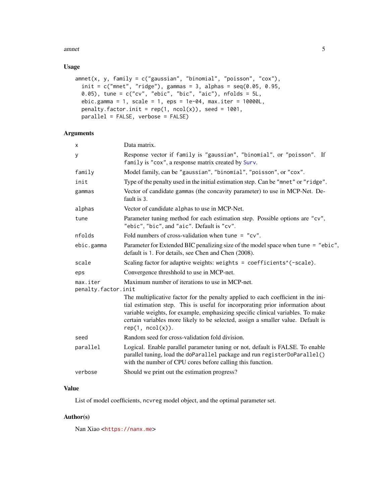#### <span id="page-4-0"></span>amnet 5

## Usage

```
amnet(x, y, family = c("gaussian", "binomial", "poisson", "cox"),init = c("mnet", "ridge"), gamma = 3, alpha = seq(0.05, 0.95, ...)0.05), tune = c("cv", "ebic", "bic", "aic"), nfolds = 5L,ebic.gamma = 1, scale = 1, eps = 1e-04, max.iter = 10000L,
 penalty.factor.init = rep(1, ncol(x)), seed = 1001,
 parallel = FALSE, verbose = FALSE)
```
# Arguments

| X                               | Data matrix.                                                                                                                                                                                                                                                                                                                                                   |
|---------------------------------|----------------------------------------------------------------------------------------------------------------------------------------------------------------------------------------------------------------------------------------------------------------------------------------------------------------------------------------------------------------|
| y                               | Response vector if family is "gaussian", "binomial", or "poisson". If<br>family is "cox", a response matrix created by Surv.                                                                                                                                                                                                                                   |
| family                          | Model family, can be "gaussian", "binomial", "poisson", or "cox".                                                                                                                                                                                                                                                                                              |
| init                            | Type of the penalty used in the initial estimation step. Can be "mnet" or "ridge".                                                                                                                                                                                                                                                                             |
| gammas                          | Vector of candidate gammas (the concavity parameter) to use in MCP-Net. De-<br>fault is 3.                                                                                                                                                                                                                                                                     |
| alphas                          | Vector of candidate alphas to use in MCP-Net.                                                                                                                                                                                                                                                                                                                  |
| tune                            | Parameter tuning method for each estimation step. Possible options are "cv",<br>"ebic", "bic", and "aic". Default is "cv".                                                                                                                                                                                                                                     |
| nfolds                          | Fold numbers of cross-validation when tune = $"cv"$ .                                                                                                                                                                                                                                                                                                          |
| ebic.gamma                      | Parameter for Extended BIC penalizing size of the model space when tune = "ebic",<br>default is 1. For details, see Chen and Chen (2008).                                                                                                                                                                                                                      |
| scale                           | Scaling factor for adaptive weights: weights = coefficients <sup>^</sup> (-scale).                                                                                                                                                                                                                                                                             |
| eps                             | Convergence threshhold to use in MCP-net.                                                                                                                                                                                                                                                                                                                      |
| max.iter<br>penalty.factor.init | Maximum number of iterations to use in MCP-net.                                                                                                                                                                                                                                                                                                                |
|                                 | The multiplicative factor for the penalty applied to each coefficient in the ini-<br>tial estimation step. This is useful for incorporating prior information about<br>variable weights, for example, emphasizing specific clinical variables. To make<br>certain variables more likely to be selected, assign a smaller value. Default is<br>rep(1, ncol(x)). |
| seed                            | Random seed for cross-validation fold division.                                                                                                                                                                                                                                                                                                                |
| parallel                        | Logical. Enable parallel parameter tuning or not, default is FALSE. To enable<br>parallel tuning, load the doParallel package and run registerDoParallel()<br>with the number of CPU cores before calling this function.                                                                                                                                       |
| verbose                         | Should we print out the estimation progress?                                                                                                                                                                                                                                                                                                                   |
|                                 |                                                                                                                                                                                                                                                                                                                                                                |

# Value

List of model coefficients, ncvreg model object, and the optimal parameter set.

# Author(s)

Nan Xiao <<https://nanx.me>>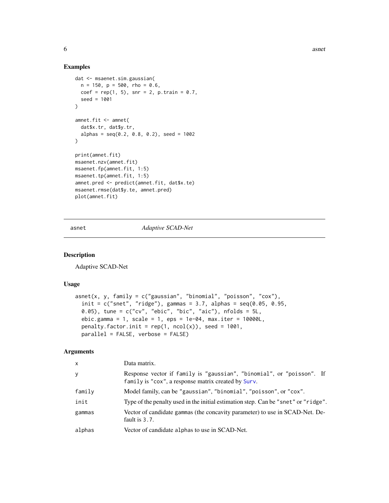#### Examples

```
dat <- msaenet.sim.gaussian(
n = 150, p = 500, rho = 0.6,
 coef = rep(1, 5), snr = 2, p.train = 0.7,seed = 1001
\lambdaamnet.fit <- amnet(
  dat$x.tr, dat$y.tr,
  alpha = seq(0.2, 0.8, 0.2), seed = 1002)
print(amnet.fit)
msaenet.nzv(amnet.fit)
msaenet.fp(amnet.fit, 1:5)
msaenet.tp(amnet.fit, 1:5)
amnet.pred <- predict(amnet.fit, dat$x.te)
msaenet.rmse(dat$y.te, amnet.pred)
plot(amnet.fit)
```
asnet *Adaptive SCAD-Net*

#### Description

Adaptive SCAD-Net

#### Usage

```
asnet(x, y, family = c("gaussian", "binomial", "poisson", "cox"),
  init = c("snet", "ridge"), gamma = 3.7, alpha = seq(0.05, 0.95,0.05), tune = c("cv", "ebic", "bic", "aic"), nfolds = 5L,
  ebic.gamma = 1, scale = 1, eps = 1e-04, max.iter = 10000L,
 penalty.factor.init = rep(1, ncol(x)), seed = 1001,
 parallel = FALSE, verbose = FALSE)
```
#### Arguments

| $\mathsf{x}$ | Data matrix.                                                                                                                 |
|--------------|------------------------------------------------------------------------------------------------------------------------------|
| y            | Response vector if family is "gaussian", "binomial", or "poisson". If<br>family is "cox", a response matrix created by Surv. |
| family       | Model family, can be "gaussian", "binomial", "poisson", or "cox".                                                            |
| init         | Type of the penalty used in the initial estimation step. Can be "snet" or "ridge".                                           |
| gammas       | Vector of candidate gammas (the concavity parameter) to use in SCAD-Net. De-<br>fault is 3.7.                                |
| alphas       | Vector of candidate alphas to use in SCAD-Net.                                                                               |

<span id="page-5-0"></span>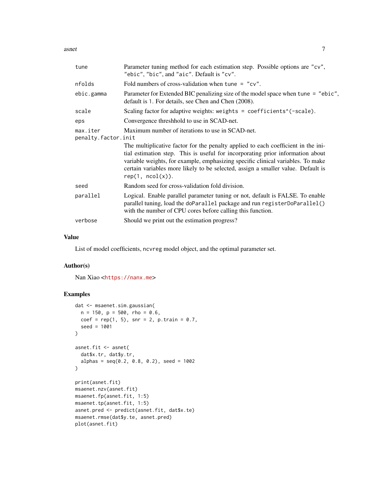asnet 7

| tune                                                                                | Parameter tuning method for each estimation step. Possible options are "cv",<br>"ebic", "bic", and "aic". Default is "cv".                                                                                                                                                                                                                                     |  |  |  |  |
|-------------------------------------------------------------------------------------|----------------------------------------------------------------------------------------------------------------------------------------------------------------------------------------------------------------------------------------------------------------------------------------------------------------------------------------------------------------|--|--|--|--|
| nfolds                                                                              | Fold numbers of cross-validation when tune $=$ "cv".                                                                                                                                                                                                                                                                                                           |  |  |  |  |
| ebic.gamma                                                                          | Parameter for Extended BIC penalizing size of the model space when tune = "ebic",<br>default is 1. For details, see Chen and Chen (2008).                                                                                                                                                                                                                      |  |  |  |  |
| scale                                                                               | Scaling factor for adaptive weights: weights = coefficients^(-scale).                                                                                                                                                                                                                                                                                          |  |  |  |  |
| eps                                                                                 | Convergence threshhold to use in SCAD-net.                                                                                                                                                                                                                                                                                                                     |  |  |  |  |
| Maximum number of iterations to use in SCAD-net.<br>max.iter<br>penalty.factor.init |                                                                                                                                                                                                                                                                                                                                                                |  |  |  |  |
|                                                                                     | The multiplicative factor for the penalty applied to each coefficient in the ini-<br>tial estimation step. This is useful for incorporating prior information about<br>variable weights, for example, emphasizing specific clinical variables. To make<br>certain variables more likely to be selected, assign a smaller value. Default is<br>rep(1, ncol(x)). |  |  |  |  |
| seed                                                                                | Random seed for cross-validation fold division.                                                                                                                                                                                                                                                                                                                |  |  |  |  |
| parallel                                                                            | Logical. Enable parallel parameter tuning or not, default is FALSE. To enable<br>parallel tuning, load the doParallel package and run registerDoParallel()<br>with the number of CPU cores before calling this function.                                                                                                                                       |  |  |  |  |
| verbose                                                                             | Should we print out the estimation progress?                                                                                                                                                                                                                                                                                                                   |  |  |  |  |
|                                                                                     |                                                                                                                                                                                                                                                                                                                                                                |  |  |  |  |

#### Value

List of model coefficients, ncvreg model object, and the optimal parameter set.

# Author(s)

Nan Xiao <<https://nanx.me>>

```
dat <- msaenet.sim.gaussian(
 n = 150, p = 500, rho = 0.6,
  coef = rep(1, 5), snr = 2, p.train = 0.7,seed = 1001
)
asnet.fit <- asnet(
  dat$x.tr, dat$y.tr,
  alphas = seq(0.2, 0.8, 0.2), seed = 1002\mathcal{L}print(asnet.fit)
msaenet.nzv(asnet.fit)
msaenet.fp(asnet.fit, 1:5)
msaenet.tp(asnet.fit, 1:5)
asnet.pred <- predict(asnet.fit, dat$x.te)
msaenet.rmse(dat$y.te, asnet.pred)
plot(asnet.fit)
```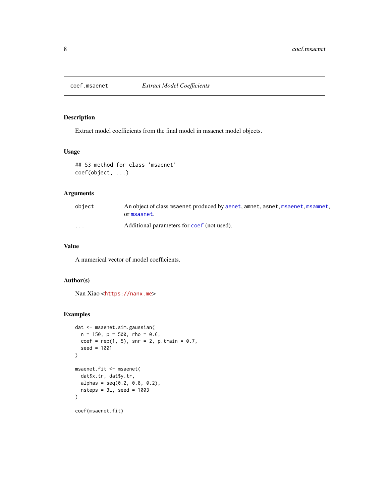<span id="page-7-0"></span>

Extract model coefficients from the final model in msaenet model objects.

#### Usage

```
## S3 method for class 'msaenet'
coef(object, ...)
```
# Arguments

| object                  | An object of class msaenet produced by aenet, amnet, asnet, msaenet, msamnet,<br>or msasnet. |
|-------------------------|----------------------------------------------------------------------------------------------|
| $\cdot$ $\cdot$ $\cdot$ | Additional parameters for coef (not used).                                                   |

# Value

A numerical vector of model coefficients.

#### Author(s)

Nan Xiao <<https://nanx.me>>

```
dat <- msaenet.sim.gaussian(
  n = 150, p = 500, rho = 0.6,
  coef = rep(1, 5), snr = 2, p.train = 0.7,seed = 1001
\mathcal{L}msaenet.fit <- msaenet(
  dat$x.tr, dat$y.tr,
  alpha = seq(0.2, 0.8, 0.2),
  nsteps = 3L, seed = 1003\mathcal{L}coef(msaenet.fit)
```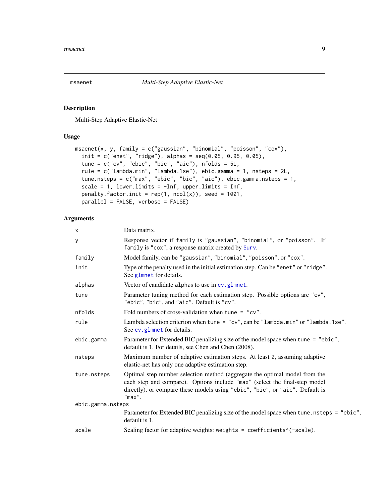<span id="page-8-1"></span><span id="page-8-0"></span>

Multi-Step Adaptive Elastic-Net

# Usage

```
msaenet(x, y, family = c("gaussian", "binomial", "poisson", "cox"),
  init = c("enet", "ridge"), alpha = seq(0.05, 0.95, 0.05),tune = c("cv", "ebic", "bic", "aic"), nfolds = 5L,
  rule = c("lambda.min", "lambda.1se"), ebic.gamma = 1, nsteps = 2L,
  tune.nsteps = c("max", "ebic", "bic", "aic"), ebic.gamma.nsteps = 1,
  scale = 1, lower.limits = -Inf, upper.limits = Inf,
 penalty.factor.init = rep(1, ncol(x)), seed = 1001,
 parallel = FALSE, verbose = FALSE)
```
# Arguments

| X                 | Data matrix.                                                                                                                                                                                                                                          |
|-------------------|-------------------------------------------------------------------------------------------------------------------------------------------------------------------------------------------------------------------------------------------------------|
| У                 | Response vector if family is "gaussian", "binomial", or "poisson". If<br>family is "cox", a response matrix created by Surv.                                                                                                                          |
| family            | Model family, can be "gaussian", "binomial", "poisson", or "cox".                                                                                                                                                                                     |
| init              | Type of the penalty used in the initial estimation step. Can be "enet" or "ridge".<br>See glmnet for details.                                                                                                                                         |
| alphas            | Vector of candidate alphas to use in cv.glmnet.                                                                                                                                                                                                       |
| tune              | Parameter tuning method for each estimation step. Possible options are "cv",<br>"ebic", "bic", and "aic". Default is "cv".                                                                                                                            |
| nfolds            | Fold numbers of cross-validation when tune = $"cv"$ .                                                                                                                                                                                                 |
| rule              | Lambda selection criterion when tune = $"cv",$ can be $"lambda a.m$ in" or $"lambda a.s$ .<br>See cv.glmnet for details.                                                                                                                              |
| ebic.gamma        | Parameter for Extended BIC penalizing size of the model space when tune = "ebic",<br>default is 1. For details, see Chen and Chen (2008).                                                                                                             |
| nsteps            | Maximum number of adaptive estimation steps. At least 2, assuming adaptive<br>elastic-net has only one adaptive estimation step.                                                                                                                      |
| tune.nsteps       | Optimal step number selection method (aggregate the optimal model from the<br>each step and compare). Options include "max" (select the final-step model<br>directly), or compare these models using "ebic", "bic", or "aic". Default is<br>$"max"$ . |
| ebic.gamma.nsteps |                                                                                                                                                                                                                                                       |
|                   | Parameter for Extended BIC penalizing size of the model space when tune . nsteps = "ebic",<br>default is 1.                                                                                                                                           |
| scale             | Scaling factor for adaptive weights: weights = coefficients^(-scale).                                                                                                                                                                                 |
|                   |                                                                                                                                                                                                                                                       |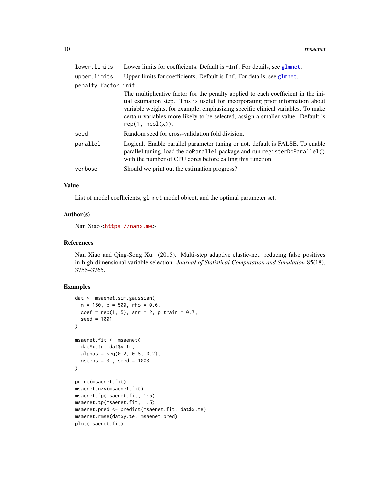<span id="page-9-0"></span>

| lower.limits        | Lower limits for coefficients. Default is -Inf. For details, see glmnet.                                                                                                                                                                                                                                                                                       |
|---------------------|----------------------------------------------------------------------------------------------------------------------------------------------------------------------------------------------------------------------------------------------------------------------------------------------------------------------------------------------------------------|
| upper.limits        | Upper limits for coefficients. Default is Inf. For details, see glmnet.                                                                                                                                                                                                                                                                                        |
| penalty.factor.init |                                                                                                                                                                                                                                                                                                                                                                |
|                     | The multiplicative factor for the penalty applied to each coefficient in the ini-<br>tial estimation step. This is useful for incorporating prior information about<br>variable weights, for example, emphasizing specific clinical variables. To make<br>certain variables more likely to be selected, assign a smaller value. Default is<br>rep(1, ncol(x)). |
| seed                | Random seed for cross-validation fold division.                                                                                                                                                                                                                                                                                                                |
| parallel            | Logical. Enable parallel parameter tuning or not, default is FALSE. To enable<br>parallel tuning, load the doParallel package and run registerDoParallel()<br>with the number of CPU cores before calling this function.                                                                                                                                       |
| verbose             | Should we print out the estimation progress?                                                                                                                                                                                                                                                                                                                   |
|                     |                                                                                                                                                                                                                                                                                                                                                                |

#### Value

List of model coefficients, glmnet model object, and the optimal parameter set.

#### Author(s)

Nan Xiao <<https://nanx.me>>

#### References

Nan Xiao and Qing-Song Xu. (2015). Multi-step adaptive elastic-net: reducing false positives in high-dimensional variable selection. *Journal of Statistical Computation and Simulation* 85(18), 3755–3765.

```
dat <- msaenet.sim.gaussian(
  n = 150, p = 500, rho = 0.6,
  coef = rep(1, 5), snr = 2, p.train = 0.7,seed = 1001
)
msaenet.fit <- msaenet(
  dat$x.tr, dat$y.tr,
  alphas = seq(0.2, 0.8, 0.2),
  nsteps = 3L, seed = 1003\lambdaprint(msaenet.fit)
msaenet.nzv(msaenet.fit)
msaenet.fp(msaenet.fit, 1:5)
msaenet.tp(msaenet.fit, 1:5)
msaenet.pred <- predict(msaenet.fit, dat$x.te)
msaenet.rmse(dat$y.te, msaenet.pred)
plot(msaenet.fit)
```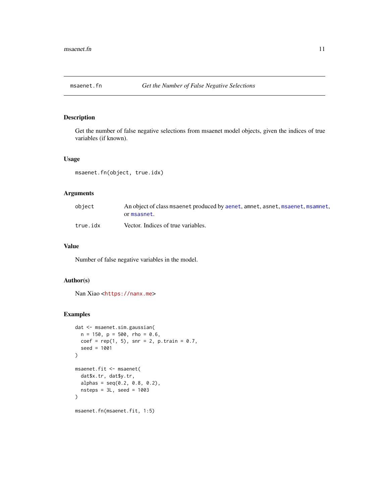<span id="page-10-0"></span>

Get the number of false negative selections from msaenet model objects, given the indices of true variables (if known).

#### Usage

msaenet.fn(object, true.idx)

#### Arguments

| object   | An object of class msaenet produced by aenet, amnet, asnet, msaenet, msamnet,<br>or msasnet. |
|----------|----------------------------------------------------------------------------------------------|
| true.idx | Vector. Indices of true variables.                                                           |

# Value

Number of false negative variables in the model.

#### Author(s)

Nan Xiao <<https://nanx.me>>

```
dat <- msaenet.sim.gaussian(
  n = 150, p = 500, rho = 0.6,
  coef = rep(1, 5), snr = 2, p.train = 0.7,seed = 1001
\mathcal{L}msaenet.fit <- msaenet(
  dat$x.tr, dat$y.tr,
  alphas = seq(0.2, 0.8, 0.2),
  nsteps = 3L, seed = 1003
\mathcal{L}msaenet.fn(msaenet.fit, 1:5)
```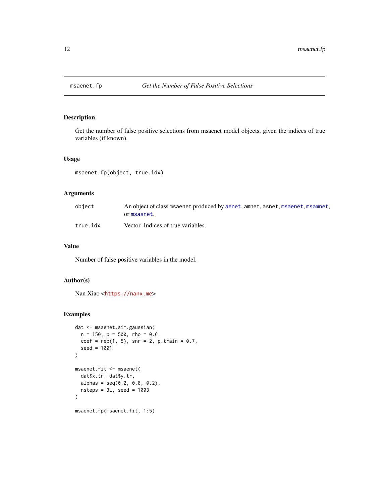<span id="page-11-0"></span>

Get the number of false positive selections from msaenet model objects, given the indices of true variables (if known).

#### Usage

msaenet.fp(object, true.idx)

#### Arguments

| object   | An object of class msaenet produced by aenet, amnet, asnet, msaenet, msamnet,<br>or msasnet. |
|----------|----------------------------------------------------------------------------------------------|
| true.idx | Vector. Indices of true variables.                                                           |

# Value

Number of false positive variables in the model.

#### Author(s)

Nan Xiao <<https://nanx.me>>

```
dat <- msaenet.sim.gaussian(
  n = 150, p = 500, rho = 0.6,
  coef = rep(1, 5), snr = 2, p.train = 0.7,seed = 1001
\mathcal{L}msaenet.fit <- msaenet(
  dat$x.tr, dat$y.tr,
  alphas = seq(0.2, 0.8, 0.2),
  nsteps = 3L, seed = 1003
\mathcal{L}msaenet.fp(msaenet.fit, 1:5)
```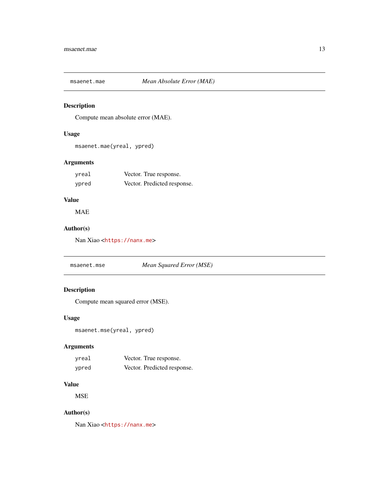<span id="page-12-0"></span>

Compute mean absolute error (MAE).

# Usage

msaenet.mae(yreal, ypred)

# Arguments

| yreal | Vector. True response.      |
|-------|-----------------------------|
| ypred | Vector. Predicted response. |

# Value

MAE

# Author(s)

Nan Xiao <<https://nanx.me>>

msaenet.mse *Mean Squared Error (MSE)*

# Description

Compute mean squared error (MSE).

# Usage

```
msaenet.mse(yreal, ypred)
```
# Arguments

| vreal | Vector. True response.      |
|-------|-----------------------------|
| ypred | Vector. Predicted response. |

# Value

**MSE** 

# Author(s)

Nan Xiao <<https://nanx.me>>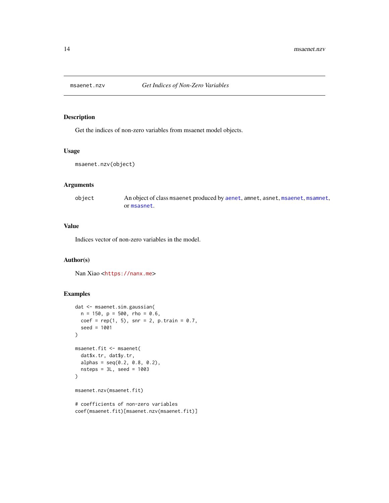<span id="page-13-0"></span>

Get the indices of non-zero variables from msaenet model objects.

#### Usage

```
msaenet.nzv(object)
```
# Arguments

object An object of class msaenet produced by [aenet](#page-2-1), amnet, asnet, [msaenet](#page-8-1), [msamnet](#page-21-1), or [msasnet](#page-23-1).

#### Value

Indices vector of non-zero variables in the model.

#### Author(s)

Nan Xiao <<https://nanx.me>>

```
dat <- msaenet.sim.gaussian(
  n = 150, p = 500, rho = 0.6,
  coef = rep(1, 5), snr = 2, p.train = 0.7,seed = 1001
)
msaenet.fit <- msaenet(
  dat$x.tr, dat$y.tr,
  alphas = seq(0.2, 0.8, 0.2),
  nsteps = 3L, seed = 1003
)
msaenet.nzv(msaenet.fit)
# coefficients of non-zero variables
coef(msaenet.fit)[msaenet.nzv(msaenet.fit)]
```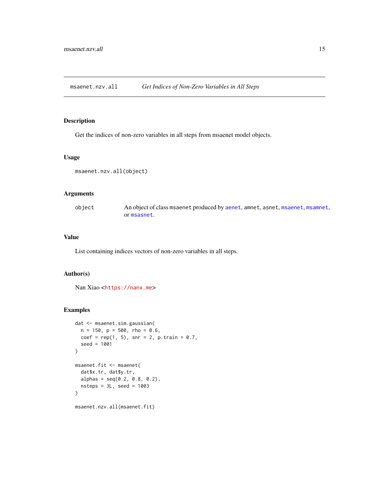<span id="page-14-0"></span>msaenet.nzv.all *Get Indices of Non-Zero Variables in All Steps*

#### Description

Get the indices of non-zero variables in all steps from msaenet model objects.

#### Usage

```
msaenet.nzv.all(object)
```
# Arguments

object An object of class msaenet produced by [aenet](#page-2-1), amnet, asnet, [msaenet](#page-8-1), [msamnet](#page-21-1), or [msasnet](#page-23-1).

#### Value

List containing indices vectors of non-zero variables in all steps.

#### Author(s)

Nan Xiao <<https://nanx.me>>

```
dat <- msaenet.sim.gaussian(
 n = 150, p = 500, rho = 0.6,
 coef = rep(1, 5), snr = 2, p.train = 0.7,seed = 1001
)
msaenet.fit <- msaenet(
  dat$x.tr, dat$y.tr,
  alphas = seq(0.2, 0.8, 0.2),
  nsteps = 3L, seed = 1003
)
msaenet.nzv.all(msaenet.fit)
```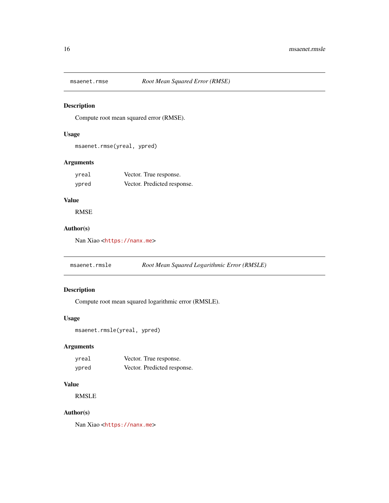<span id="page-15-0"></span>

Compute root mean squared error (RMSE).

# Usage

msaenet.rmse(yreal, ypred)

# Arguments

| yreal | Vector. True response.      |
|-------|-----------------------------|
| ypred | Vector. Predicted response. |

# Value

RMSE

# Author(s)

Nan Xiao <<https://nanx.me>>

msaenet.rmsle *Root Mean Squared Logarithmic Error (RMSLE)*

# Description

Compute root mean squared logarithmic error (RMSLE).

#### Usage

```
msaenet.rmsle(yreal, ypred)
```
# Arguments

| yreal | Vector. True response.      |
|-------|-----------------------------|
| ypred | Vector. Predicted response. |

#### Value

RMSLE

#### Author(s)

Nan Xiao <<https://nanx.me>>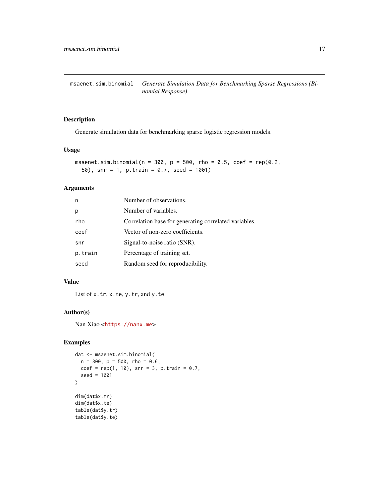<span id="page-16-0"></span>msaenet.sim.binomial *Generate Simulation Data for Benchmarking Sparse Regressions (Binomial Response)*

#### Description

Generate simulation data for benchmarking sparse logistic regression models.

# Usage

```
msaenet.sim.binomial(n = 300, p = 500, rho = 0.5, coef = rep(0.2,
  50), snr = 1, p.train = 0.7, seed = 1001)
```
# Arguments

| n       | Number of observations.                               |
|---------|-------------------------------------------------------|
| р       | Number of variables.                                  |
| rho     | Correlation base for generating correlated variables. |
| coef    | Vector of non-zero coefficients.                      |
| snr     | Signal-to-noise ratio (SNR).                          |
| p.train | Percentage of training set.                           |
| seed    | Random seed for reproducibility.                      |

#### Value

List of x.tr, x.te, y.tr, and y.te.

# Author(s)

Nan Xiao <<https://nanx.me>>

```
dat <- msaenet.sim.binomial(
  n = 300, p = 500, rho = 0.6,
  coef = rep(1, 10), snr = 3, p.train = 0.7,seed = 1001
)
dim(dat$x.tr)
dim(dat$x.te)
table(dat$y.tr)
table(dat$y.te)
```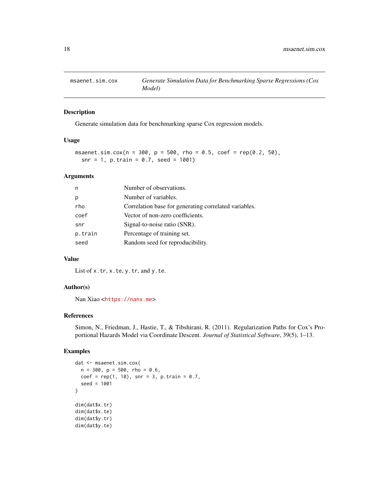<span id="page-17-0"></span>

Generate simulation data for benchmarking sparse Cox regression models.

# Usage

```
msaenet.sim.cox(n = 300, p = 500, rho = 0.5, coef = rep(0.2, 50),
  snr = 1, p.train = 0.7, seed = 1001)
```
#### Arguments

| n       | Number of observations.                               |
|---------|-------------------------------------------------------|
|         | Number of variables.                                  |
| rho     | Correlation base for generating correlated variables. |
| coef    | Vector of non-zero coefficients.                      |
| snr     | Signal-to-noise ratio (SNR).                          |
| p.train | Percentage of training set.                           |
| seed    | Random seed for reproducibility.                      |

# Value

List of x.tr, x.te, y.tr, and y.te.

# Author(s)

Nan Xiao <<https://nanx.me>>

#### References

Simon, N., Friedman, J., Hastie, T., & Tibshirani, R. (2011). Regularization Paths for Cox's Proportional Hazards Model via Coordinate Descent. *Journal of Statistical Software*, 39(5), 1–13.

```
dat <- msaenet.sim.cox(
 n = 300, p = 500, rho = 0.6,coef = rep(1, 10), snr = 3, p.train = 0.7,
  seed = 1001
\mathcal{L}dim(dat$x.tr)
dim(dat$x.te)
dim(dat$y.tr)
dim(dat$y.te)
```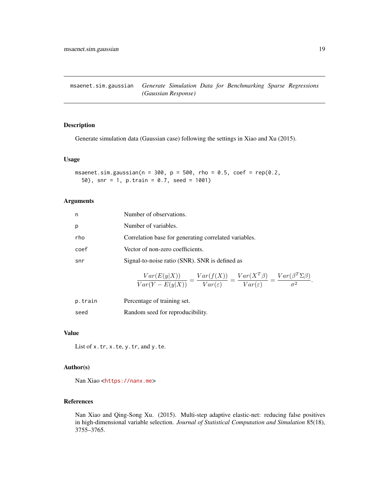<span id="page-18-0"></span>msaenet.sim.gaussian *Generate Simulation Data for Benchmarking Sparse Regressions (Gaussian Response)*

# Description

Generate simulation data (Gaussian case) following the settings in Xiao and Xu (2015).

#### Usage

```
msaenet.sim.gaussian(n = 300, p = 500, rho = 0.5, coef = rep(0.2,
  50), snr = 1, p.train = 0.7, seed = 1001)
```
#### Arguments

| n    | Number of observations.                                                                                                                                            |
|------|--------------------------------------------------------------------------------------------------------------------------------------------------------------------|
| p    | Number of variables.                                                                                                                                               |
| rho  | Correlation base for generating correlated variables.                                                                                                              |
| coef | Vector of non-zero coefficients.                                                                                                                                   |
| snr  | Signal-to-noise ratio (SNR). SNR is defined as                                                                                                                     |
|      | $\frac{Var(E(y X))}{Var(Y - E(y X))} = \frac{Var(f(X))}{Var(\varepsilon)} = \frac{Var(X^T \beta)}{Var(\varepsilon)} = \frac{Var(\beta^T \Sigma \beta)}{\sigma^2}.$ |

| p.train | Percentage of training set.      |
|---------|----------------------------------|
| seed    | Random seed for reproducibility. |

#### Value

List of x.tr, x.te, y.tr, and y.te.

# Author(s)

Nan Xiao <<https://nanx.me>>

#### References

Nan Xiao and Qing-Song Xu. (2015). Multi-step adaptive elastic-net: reducing false positives in high-dimensional variable selection. *Journal of Statistical Computation and Simulation* 85(18), 3755–3765.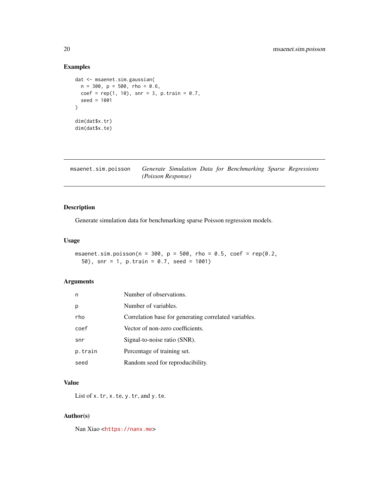# Examples

```
dat <- msaenet.sim.gaussian(
 n = 300, p = 500, rho = 0.6,
 coef = rep(1, 10), snr = 3, p.train = 0.7,
  seed = 1001
)
dim(dat$x.tr)
dim(dat$x.te)
```
msaenet.sim.poisson *Generate Simulation Data for Benchmarking Sparse Regressions (Poisson Response)*

# Description

Generate simulation data for benchmarking sparse Poisson regression models.

# Usage

msaenet.sim.poisson(n = 300, p = 500, rho = 0.5, coef = rep(0.2, 50), snr = 1, p.train = 0.7, seed = 1001)

#### Arguments

| n       | Number of observations.                               |
|---------|-------------------------------------------------------|
| p       | Number of variables.                                  |
| rho     | Correlation base for generating correlated variables. |
| coef    | Vector of non-zero coefficients.                      |
| snr     | Signal-to-noise ratio (SNR).                          |
| p.train | Percentage of training set.                           |
| seed    | Random seed for reproducibility.                      |

#### Value

List of x.tr, x.te, y.tr, and y.te.

#### Author(s)

Nan Xiao <<https://nanx.me>>

<span id="page-19-0"></span>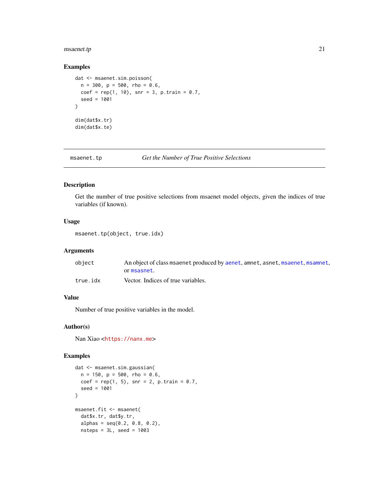# <span id="page-20-0"></span>msaenet.tp 21

#### Examples

```
dat <- msaenet.sim.poisson(
 n = 300, p = 500, rho = 0.6,
  coef = rep(1, 10), snr = 3, p.train = 0.7,
  seed = 1001
\mathcal{L}dim(dat$x.tr)
dim(dat$x.te)
```
msaenet.tp *Get the Number of True Positive Selections*

#### Description

Get the number of true positive selections from msaenet model objects, given the indices of true variables (if known).

#### Usage

```
msaenet.tp(object, true.idx)
```
#### Arguments

| object   | An object of class msaenet produced by aenet, amnet, asnet, msaenet, msamnet, |
|----------|-------------------------------------------------------------------------------|
|          | ormsasnet.                                                                    |
| true.idx | Vector. Indices of true variables.                                            |

# Value

Number of true positive variables in the model.

#### Author(s)

Nan Xiao <<https://nanx.me>>

```
dat <- msaenet.sim.gaussian(
  n = 150, p = 500, rho = 0.6,
  coef = rep(1, 5), snr = 2, p.train = 0.7,seed = 1001
\mathcal{L}msaenet.fit <- msaenet(
  dat$x.tr, dat$y.tr,
  alpha = seq(0.2, 0.8, 0.2),
  nsteps = 3L, seed = 1003
```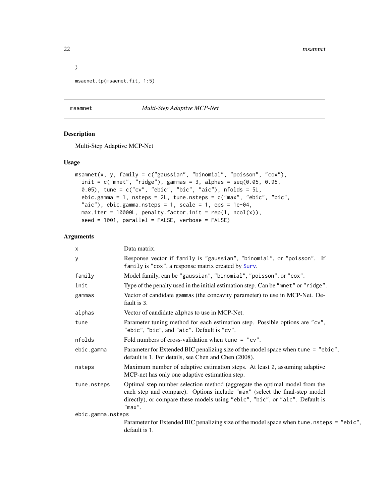```
msaenet.tp(msaenet.fit, 1:5)
```
#### <span id="page-21-1"></span>msamnet *Multi-Step Adaptive MCP-Net*

#### Description

Multi-Step Adaptive MCP-Net

#### Usage

```
msamnet(x, y, family = c("gaussian", "binomial", "poisson", "cox"),
  init = c("mnet", "ridge"), gamma = 3, alpha = seq(0.05, 0.95, ...)0.05), tune = c("cv", "ebic", "bic", "aic"), nfolds = 5L,ebic.gamma = 1, nsteps = 2L, tune.nsteps = c("max", "ebic", "bic",
  "aic"), ebic.gamma.nsteps = 1, scale = 1, eps = 1e-04,
 max.iter = 10000L, penalty.factor.init = rep(1, ncol(x)),
  seed = 1001, parallel = FALSE, verbose = FALSE)
```
#### Arguments

| x                 | Data matrix.                                                                                                                                                                                                                                          |
|-------------------|-------------------------------------------------------------------------------------------------------------------------------------------------------------------------------------------------------------------------------------------------------|
| У                 | Response vector if family is "gaussian", "binomial", or "poisson". If<br>family is "cox", a response matrix created by Surv.                                                                                                                          |
| family            | Model family, can be "gaussian", "binomial", "poisson", or "cox".                                                                                                                                                                                     |
| init              | Type of the penalty used in the initial estimation step. Can be "mnet" or "ridge".                                                                                                                                                                    |
| gammas            | Vector of candidate gammas (the concavity parameter) to use in MCP-Net. De-<br>fault is 3.                                                                                                                                                            |
| alphas            | Vector of candidate alphas to use in MCP-Net.                                                                                                                                                                                                         |
| tune              | Parameter tuning method for each estimation step. Possible options are "cv",<br>"ebic", "bic", and "aic". Default is "cv".                                                                                                                            |
| nfolds            | Fold numbers of cross-validation when tune = $"cv"$ .                                                                                                                                                                                                 |
| ebic.gamma        | Parameter for Extended BIC penalizing size of the model space when tune = "ebic",<br>default is 1. For details, see Chen and Chen (2008).                                                                                                             |
| nsteps            | Maximum number of adaptive estimation steps. At least 2, assuming adaptive<br>MCP-net has only one adaptive estimation step.                                                                                                                          |
| tune.nsteps       | Optimal step number selection method (aggregate the optimal model from the<br>each step and compare). Options include "max" (select the final-step model<br>directly), or compare these models using "ebic", "bic", or "aic". Default is<br>$"max"$ . |
| ebic.gamma.nsteps |                                                                                                                                                                                                                                                       |
|                   | Parameter for Extended BIC penalizing size of the model space when tune.nsteps = "ebic",<br>default is 1.                                                                                                                                             |

<span id="page-21-0"></span> $\overline{)}$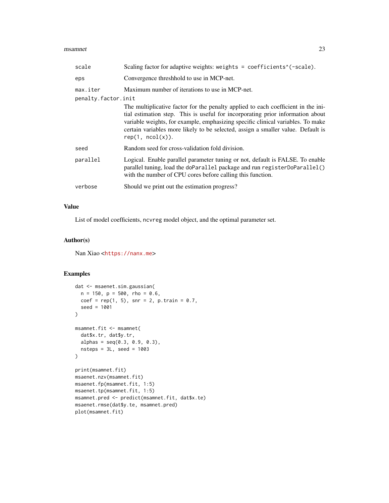#### msamnet 23

| scale                           | Scaling factor for adaptive weights: weights = coefficients^(-scale).                                                                                                                                                                                                                                                                                          |
|---------------------------------|----------------------------------------------------------------------------------------------------------------------------------------------------------------------------------------------------------------------------------------------------------------------------------------------------------------------------------------------------------------|
| eps                             | Convergence threshhold to use in MCP-net.                                                                                                                                                                                                                                                                                                                      |
| max.iter<br>penalty.factor.init | Maximum number of iterations to use in MCP-net.                                                                                                                                                                                                                                                                                                                |
|                                 | The multiplicative factor for the penalty applied to each coefficient in the ini-<br>tial estimation step. This is useful for incorporating prior information about<br>variable weights, for example, emphasizing specific clinical variables. To make<br>certain variables more likely to be selected, assign a smaller value. Default is<br>rep(1, ncol(x)). |
| seed                            | Random seed for cross-validation fold division.                                                                                                                                                                                                                                                                                                                |
| parallel                        | Logical. Enable parallel parameter tuning or not, default is FALSE. To enable<br>parallel tuning, load the doParallel package and run registerDoParallel()<br>with the number of CPU cores before calling this function.                                                                                                                                       |
| verbose                         | Should we print out the estimation progress?                                                                                                                                                                                                                                                                                                                   |
|                                 |                                                                                                                                                                                                                                                                                                                                                                |

# Value

List of model coefficients, ncvreg model object, and the optimal parameter set.

# Author(s)

Nan Xiao <<https://nanx.me>>

```
dat <- msaenet.sim.gaussian(
 n = 150, p = 500, rho = 0.6,
  coef = rep(1, 5), snr = 2, p.train = 0.7,seed = 1001
)
msamnet.fit <- msamnet(
  dat$x.tr, dat$y.tr,
  alphas = seq(0.3, 0.9, 0.3),
  nsteps = 3L, seed = 1003
)
print(msamnet.fit)
msaenet.nzv(msamnet.fit)
msaenet.fp(msamnet.fit, 1:5)
msaenet.tp(msamnet.fit, 1:5)
msamnet.pred <- predict(msamnet.fit, dat$x.te)
msaenet.rmse(dat$y.te, msamnet.pred)
plot(msamnet.fit)
```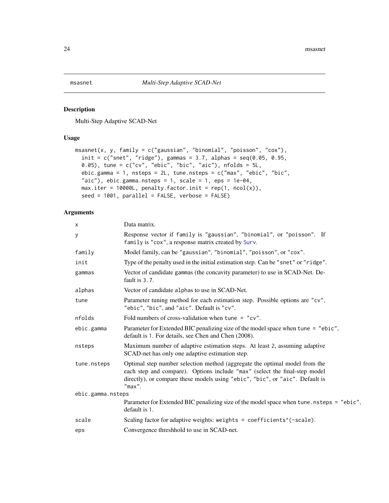<span id="page-23-1"></span><span id="page-23-0"></span>

Multi-Step Adaptive SCAD-Net

# Usage

```
msasnet(x, y, family = c("gaussian", "binomial", "poisson", "cox"),
  init = c("snet", "ridge"), gamma = 3.7, alpha = seq(0.05, 0.95,0.05), tune = c("cv", "ebic", "bic", "aic"), n folds = 5L,ebic.gamma = 1, nsteps = 2L, tune.nsteps = c("max", "ebic", "bic",
  "aic"), ebic.gamma.nsteps = 1, scale = 1, eps = 1e-04,
 max.iter = 10000L, penalty.factor.init = rep(1, ncol(x)),seed = 1001, parallel = FALSE, verbose = FALSE)
```
#### Arguments

| X                 | Data matrix.                                                                                                                                                                                                                                          |
|-------------------|-------------------------------------------------------------------------------------------------------------------------------------------------------------------------------------------------------------------------------------------------------|
| У                 | Response vector if family is "gaussian", "binomial", or "poisson". If<br>family is "cox", a response matrix created by Surv.                                                                                                                          |
| family            | Model family, can be "gaussian", "binomial", "poisson", or "cox".                                                                                                                                                                                     |
| init              | Type of the penalty used in the initial estimation step. Can be "snet" or "ridge".                                                                                                                                                                    |
| gammas            | Vector of candidate gammas (the concavity parameter) to use in SCAD-Net. De-<br>fault is 3.7.                                                                                                                                                         |
| alphas            | Vector of candidate alphas to use in SCAD-Net.                                                                                                                                                                                                        |
| tune              | Parameter tuning method for each estimation step. Possible options are "cv",<br>"ebic", "bic", and "aic". Default is "cv".                                                                                                                            |
| nfolds            | Fold numbers of cross-validation when tune = $"cv"$ .                                                                                                                                                                                                 |
| ebic.gamma        | Parameter for Extended BIC penalizing size of the model space when tune = "ebic",<br>default is 1. For details, see Chen and Chen (2008).                                                                                                             |
| nsteps            | Maximum number of adaptive estimation steps. At least 2, assuming adaptive<br>SCAD-net has only one adaptive estimation step.                                                                                                                         |
| tune.nsteps       | Optimal step number selection method (aggregate the optimal model from the<br>each step and compare). Options include "max" (select the final-step model<br>directly), or compare these models using "ebic", "bic", or "aic". Default is<br>$"max"$ . |
| ebic.gamma.nsteps |                                                                                                                                                                                                                                                       |
|                   | Parameter for Extended BIC penalizing size of the model space when tune . nsteps = "ebic",<br>default is 1.                                                                                                                                           |
| scale             | Scaling factor for adaptive weights: weights = coefficients^(-scale).                                                                                                                                                                                 |
| eps               | Convergence threshhold to use in SCAD-net.                                                                                                                                                                                                            |
|                   |                                                                                                                                                                                                                                                       |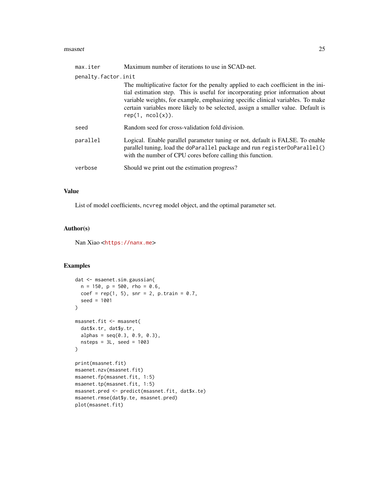#### msasnet 25

| max.iter            | Maximum number of iterations to use in SCAD-net.                                                                                                                                                                                                                                                                                                               |  |
|---------------------|----------------------------------------------------------------------------------------------------------------------------------------------------------------------------------------------------------------------------------------------------------------------------------------------------------------------------------------------------------------|--|
| penalty.factor.init |                                                                                                                                                                                                                                                                                                                                                                |  |
|                     | The multiplicative factor for the penalty applied to each coefficient in the ini-<br>tial estimation step. This is useful for incorporating prior information about<br>variable weights, for example, emphasizing specific clinical variables. To make<br>certain variables more likely to be selected, assign a smaller value. Default is<br>rep(1, ncol(x)). |  |
| seed                | Random seed for cross-validation fold division.                                                                                                                                                                                                                                                                                                                |  |
| parallel            | Logical. Enable parallel parameter tuning or not, default is FALSE. To enable<br>parallel tuning, load the doParallel package and run registerDoParallel()<br>with the number of CPU cores before calling this function.                                                                                                                                       |  |
| verbose             | Should we print out the estimation progress?                                                                                                                                                                                                                                                                                                                   |  |
|                     |                                                                                                                                                                                                                                                                                                                                                                |  |

# Value

List of model coefficients, ncvreg model object, and the optimal parameter set.

#### Author(s)

Nan Xiao <<https://nanx.me>>

```
dat <- msaenet.sim.gaussian(
 n = 150, p = 500, rho = 0.6,
 coef = rep(1, 5), snr = 2, p.train = 0.7,seed = 1001
\mathcal{L}msasnet.fit <- msasnet(
  dat$x.tr, dat$y.tr,
  alphas = seq(0.3, 0.9, 0.3),
  nsteps = 3L, seed = 1003
)
print(msasnet.fit)
msaenet.nzv(msasnet.fit)
msaenet.fp(msasnet.fit, 1:5)
msaenet.tp(msasnet.fit, 1:5)
msasnet.pred <- predict(msasnet.fit, dat$x.te)
msaenet.rmse(dat$y.te, msasnet.pred)
plot(msasnet.fit)
```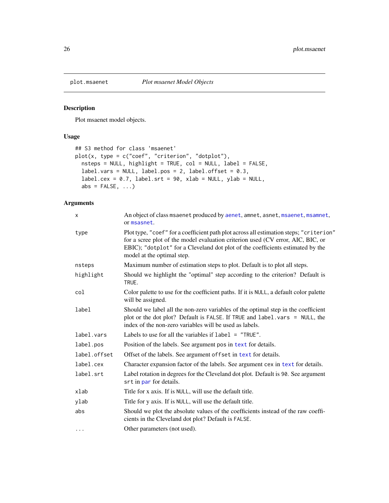<span id="page-25-0"></span>

Plot msaenet model objects.

# Usage

```
## S3 method for class 'msaenet'
plot(x, type = c("coef", "criterion", "dotplot"),
 nsteps = NULL, highlight = TRUE, col = NULL, label = FALSE,
 label.vars = NULL, label.pos = 2, label.offset = 0.3,
  label.cex = 0.7, label.srt = 90, xlab = NULL, ylab = NULL,
 abs = FALSE, ...)
```
# Arguments

| X            | An object of class msaenet produced by aenet, amnet, asnet, msaenet, msamnet,<br>or msasnet.                                                                                                                                                                                              |
|--------------|-------------------------------------------------------------------------------------------------------------------------------------------------------------------------------------------------------------------------------------------------------------------------------------------|
| type         | Plot type, "coef" for a coefficient path plot across all estimation steps; "criterion"<br>for a scree plot of the model evaluation criterion used (CV error, AIC, BIC, or<br>EBIC); "dotplot" for a Cleveland dot plot of the coefficients estimated by the<br>model at the optimal step. |
| nsteps       | Maximum number of estimation steps to plot. Default is to plot all steps.                                                                                                                                                                                                                 |
| highlight    | Should we highlight the "optimal" step according to the criterion? Default is<br>TRUE.                                                                                                                                                                                                    |
| col          | Color palette to use for the coefficient paths. If it is NULL, a default color palette<br>will be assigned.                                                                                                                                                                               |
| label        | Should we label all the non-zero variables of the optimal step in the coefficient<br>plot or the dot plot? Default is FALSE. If TRUE and label. vars = NULL, the<br>index of the non-zero variables will be used as labels.                                                               |
| label.vars   | Labels to use for all the variables if $label = "TRUE".$                                                                                                                                                                                                                                  |
| label.pos    | Position of the labels. See argument pos in text for details.                                                                                                                                                                                                                             |
| label.offset | Offset of the labels. See argument offset in text for details.                                                                                                                                                                                                                            |
| label.cex    | Character expansion factor of the labels. See argument cex in text for details.                                                                                                                                                                                                           |
| label.srt    | Label rotation in degrees for the Cleveland dot plot. Default is 90. See argument<br>srt in par for details.                                                                                                                                                                              |
| xlab         | Title for x axis. If is NULL, will use the default title.                                                                                                                                                                                                                                 |
| ylab         | Title for y axis. If is NULL, will use the default title.                                                                                                                                                                                                                                 |
| abs          | Should we plot the absolute values of the coefficients instead of the raw coeffi-<br>cients in the Cleveland dot plot? Default is FALSE.                                                                                                                                                  |
| $\cdots$     | Other parameters (not used).                                                                                                                                                                                                                                                              |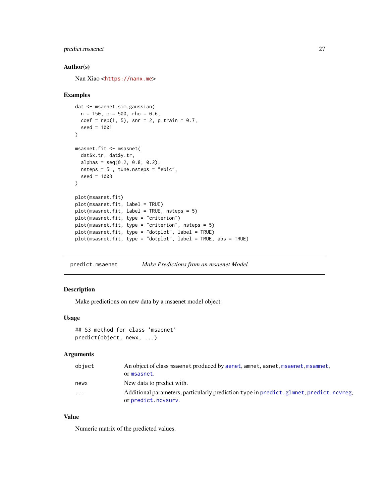# <span id="page-26-0"></span>predict.msaenet 27

#### Author(s)

Nan Xiao <<https://nanx.me>>

#### Examples

```
dat <- msaenet.sim.gaussian(
  n = 150, p = 500, rho = 0.6,
  coef = rep(1, 5), snr = 2, p.train = 0.7,seed = 1001
)
msasnet.fit <- msasnet(
  dat$x.tr, dat$y.tr,
  alpha = seq(0.2, 0.8, 0.2),
 nsteps = 5L, tune.nsteps = "ebic",
  seed = 1003\lambdaplot(msasnet.fit)
plot(msasnet.fit, label = TRUE)
plot(msasnet.fit, label = TRUE, nsteps = 5)
plot(msasnet.fit, type = "criterion")
plot(msasnet.fit, type = "criterion", nsteps = 5)
plot(msasnet.fit, type = "dotplot", label = TRUE)
plot(msasnet.fit, type = "dotplot", label = TRUE, abs = TRUE)
```
predict.msaenet *Make Predictions from an msaenet Model*

#### Description

Make predictions on new data by a msaenet model object.

#### Usage

```
## S3 method for class 'msaenet'
predict(object, newx, ...)
```
#### Arguments

| object  | An object of class msaenet produced by aenet, amnet, asnet, msaenet, msamnet,<br>or msasnet.                    |
|---------|-----------------------------------------------------------------------------------------------------------------|
| newx    | New data to predict with.                                                                                       |
| $\cdot$ | Additional parameters, particularly prediction type in predict. glmnet, predict. ncvreg,<br>or predict.ncvsurv. |

#### Value

Numeric matrix of the predicted values.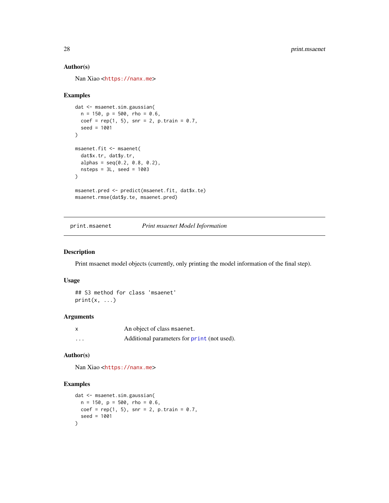# Author(s)

Nan Xiao <<https://nanx.me>>

#### Examples

```
dat <- msaenet.sim.gaussian(
  n = 150, p = 500, rho = 0.6,
 coef = rep(1, 5), snr = 2, p.train = 0.7,seed = 1001
)
msaenet.fit <- msaenet(
 dat$x.tr, dat$y.tr,
  alpha = seq(0.2, 0.8, 0.2),
  nsteps = 3L, seed = 1003
\lambdamsaenet.pred <- predict(msaenet.fit, dat$x.te)
msaenet.rmse(dat$y.te, msaenet.pred)
```
print.msaenet *Print msaenet Model Information*

#### Description

Print msaenet model objects (currently, only printing the model information of the final step).

#### Usage

```
## S3 method for class 'msaenet'
print(x, \ldots)
```
#### Arguments

|   | An object of class msaenet.                 |
|---|---------------------------------------------|
| . | Additional parameters for print (not used). |

#### Author(s)

Nan Xiao <<https://nanx.me>>

```
dat <- msaenet.sim.gaussian(
  n = 150, p = 500, rho = 0.6,
  coef = rep(1, 5), snr = 2, p.train = 0.7,seed = 1001
\mathcal{L}
```
<span id="page-27-0"></span>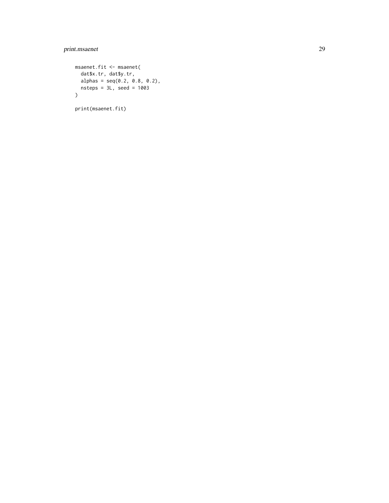# print.msaenet 29

```
msaenet.fit <- msaenet(
 dat$x.tr, dat$y.tr,
  alpha = seq(0.2, 0.8, 0.2),
  nsteps = 3L, seed = 1003
\lambda
```
print(msaenet.fit)